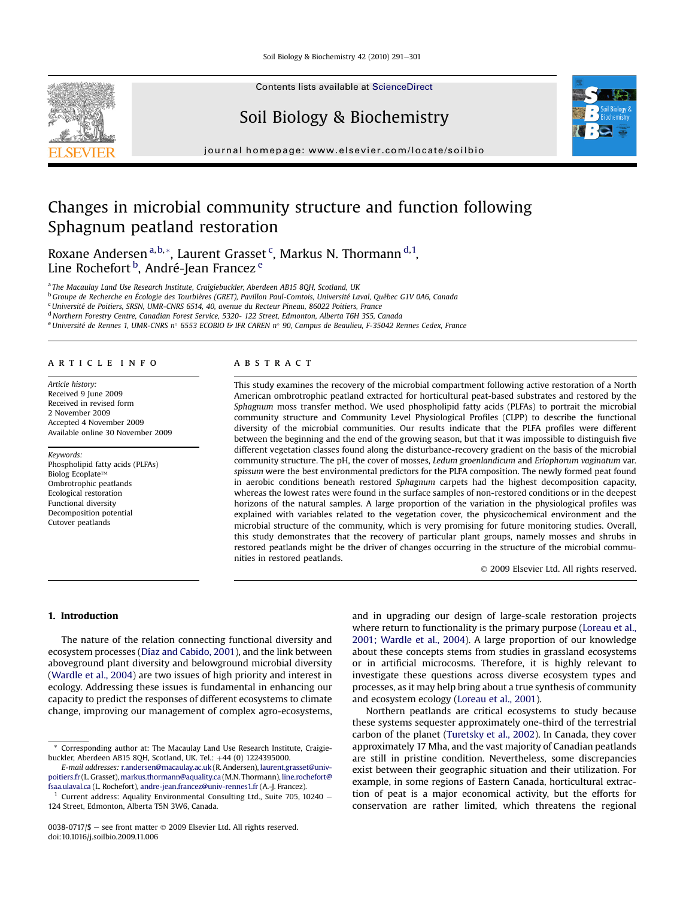## Soil Biology & Biochemistry 42 (2010) 291-301



Contents lists available at ScienceDirect

# Soil Biology & Biochemistry



journal homepage: [www.elsevier.com/locate/soilbio](http://www.elsevier.com/locate/soilbio)

# Changes in microbial community structure and function following Sphagnum peatland restoration

Roxane Andersen <sup>a,b,</sup>\*, Laurent Grasset <sup>c</sup>, Markus N. Thormann <sup>d, 1</sup>, Line Rochefort <sup>b</sup>, André-Jean Francez <sup>e</sup>

a The Macaulay Land Use Research Institute, Craigiebuckler, Aberdeen AB15 8QH, Scotland, UK

<sup>b</sup> Groupe de Recherche en Écologie des Tourbières (GRET), Pavillon Paul-Comtois, Université Laval, Québec G1V 0A6, Canada

 $c$ Université de Poitiers, SRSN, UMR-CNRS 6514, 40, avenue du Recteur Pineau, 86022 Poitiers, France

<sup>d</sup> Northern Forestry Centre, Canadian Forest Service, 5320- 122 Street, Edmonton, Alberta T6H 3S5, Canada

e Université de Rennes 1, UMR-CNRS n° 6553 ECOBIO & IFR CAREN n° 90, Campus de Beaulieu, F-35042 Rennes Cedex, France

## article info

Article history: Received 9 June 2009 Received in revised form 2 November 2009 Accepted 4 November 2009 Available online 30 November 2009

## Keywords: Phospholipid fatty acids (PLFAs) Biolog Ecoplate<sup>™</sup> Ombrotrophic peatlands Ecological restoration Functional diversity Decomposition potential Cutover peatlands

# ABSTRACT

This study examines the recovery of the microbial compartment following active restoration of a North American ombrotrophic peatland extracted for horticultural peat-based substrates and restored by the Sphagnum moss transfer method. We used phospholipid fatty acids (PLFAs) to portrait the microbial community structure and Community Level Physiological Profiles (CLPP) to describe the functional diversity of the microbial communities. Our results indicate that the PLFA profiles were different between the beginning and the end of the growing season, but that it was impossible to distinguish five different vegetation classes found along the disturbance-recovery gradient on the basis of the microbial community structure. The pH, the cover of mosses, *Ledum groenlandicum* and *Eriophorum vaginatum var.* spissum were the best environmental predictors for the PLFA composition. The newly formed peat found in aerobic conditions beneath restored Sphagnum carpets had the highest decomposition capacity, whereas the lowest rates were found in the surface samples of non-restored conditions or in the deepest horizons of the natural samples. A large proportion of the variation in the physiological profiles was explained with variables related to the vegetation cover, the physicochemical environment and the microbial structure of the community, which is very promising for future monitoring studies. Overall, this study demonstrates that the recovery of particular plant groups, namely mosses and shrubs in restored peatlands might be the driver of changes occurring in the structure of the microbial communities in restored peatlands.

2009 Elsevier Ltd. All rights reserved.

1. Introduction

The nature of the relation connecting functional diversity and ecosystem processes ([Díaz and Cabido, 2001\)](#page-9-0), and the link between aboveground plant diversity and belowground microbial diversity ([Wardle et al., 2004](#page-10-0)) are two issues of high priority and interest in ecology. Addressing these issues is fundamental in enhancing our capacity to predict the responses of different ecosystems to climate change, improving our management of complex agro-ecosystems, and in upgrading our design of large-scale restoration projects where return to functionality is the primary purpose ([Loreau et al.,](#page-9-0) [2001; Wardle et al., 2004](#page-9-0)). A large proportion of our knowledge about these concepts stems from studies in grassland ecosystems or in artificial microcosms. Therefore, it is highly relevant to investigate these questions across diverse ecosystem types and processes, as it may help bring about a true synthesis of community and ecosystem ecology [\(Loreau et al., 2001\)](#page-9-0).

Northern peatlands are critical ecosystems to study because these systems sequester approximately one-third of the terrestrial carbon of the planet ([Turetsky et al., 2002\)](#page-10-0). In Canada, they cover approximately 17 Mha, and the vast majority of Canadian peatlands are still in pristine condition. Nevertheless, some discrepancies exist between their geographic situation and their utilization. For example, in some regions of Eastern Canada, horticultural extraction of peat is a major economical activity, but the efforts for conservation are rather limited, which threatens the regional

Corresponding author at: The Macaulay Land Use Research Institute, Craigiebuckler, Aberdeen AB15 8QH, Scotland, UK. Tel.: +44 (0) 1224395000.

E-mail addresses: [r.andersen@macaulay.ac.uk](mailto:r.andersen@macaulay.ac.uk) (R. Andersen), [laurent.grasset@univ](mailto:laurent.grasset@univ-poitiers.fr)[poitiers.fr](mailto:laurent.grasset@univ-poitiers.fr) (L. Grasset), [markus.thormann@aquality.ca](mailto:markus.thormann@aquality.ca) (M.N. Thormann), [line.rochefort@](mailto:line.rochefort@fsaa.ulaval.ca) [fsaa.ulaval.ca](mailto:line.rochefort@fsaa.ulaval.ca) (L. Rochefort), [andre-jean.francez@univ-rennes1.fr](mailto:andre-jean.francez@univ-rennes1.fr) (A.-J. Francez).

Current address: Aquality Environmental Consulting Ltd., Suite 705, 10240 -124 Street, Edmonton, Alberta T5N 3W6, Canada.

<sup>0038-0717/\$ -</sup> see front matter  $\odot$  2009 Elsevier Ltd. All rights reserved. doi:10.1016/j.soilbio.2009.11.006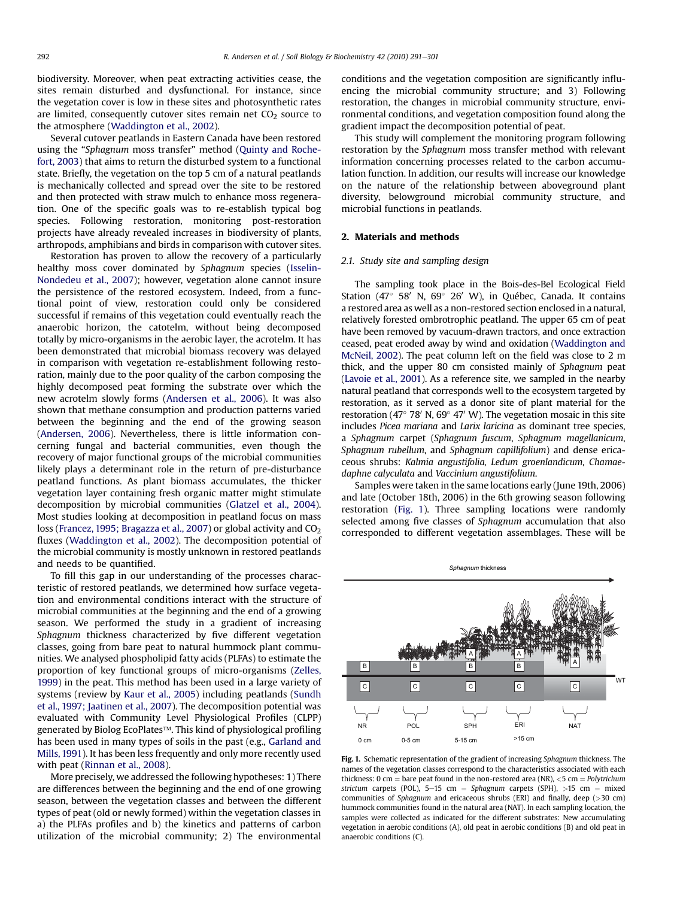<span id="page-1-0"></span>biodiversity. Moreover, when peat extracting activities cease, the sites remain disturbed and dysfunctional. For instance, since the vegetation cover is low in these sites and photosynthetic rates are limited, consequently cutover sites remain net  $CO<sub>2</sub>$  source to the atmosphere [\(Waddington et al., 2002](#page-10-0)).

Several cutover peatlands in Eastern Canada have been restored using the "Sphagnum moss transfer" method ([Quinty and Roche](#page-9-0)[fort, 2003\)](#page-9-0) that aims to return the disturbed system to a functional state. Briefly, the vegetation on the top 5 cm of a natural peatlands is mechanically collected and spread over the site to be restored and then protected with straw mulch to enhance moss regeneration. One of the specific goals was to re-establish typical bog species. Following restoration, monitoring post-restoration projects have already revealed increases in biodiversity of plants, arthropods, amphibians and birds in comparison with cutover sites.

Restoration has proven to allow the recovery of a particularly healthy moss cover dominated by Sphagnum species ([Isselin-](#page-9-0)[Nondedeu et al., 2007](#page-9-0)); however, vegetation alone cannot insure the persistence of the restored ecosystem. Indeed, from a functional point of view, restoration could only be considered successful if remains of this vegetation could eventually reach the anaerobic horizon, the catotelm, without being decomposed totally by micro-organisms in the aerobic layer, the acrotelm. It has been demonstrated that microbial biomass recovery was delayed in comparison with vegetation re-establishment following restoration, mainly due to the poor quality of the carbon composing the highly decomposed peat forming the substrate over which the new acrotelm slowly forms [\(Andersen et al., 2006\)](#page-9-0). It was also shown that methane consumption and production patterns varied between the beginning and the end of the growing season ([Andersen, 2006](#page-9-0)). Nevertheless, there is little information concerning fungal and bacterial communities, even though the recovery of major functional groups of the microbial communities likely plays a determinant role in the return of pre-disturbance peatland functions. As plant biomass accumulates, the thicker vegetation layer containing fresh organic matter might stimulate decomposition by microbial communities ([Glatzel et al., 2004\)](#page-9-0). Most studies looking at decomposition in peatland focus on mass loss [\(Francez, 1995; Bragazza et al., 2007\)](#page-9-0) or global activity and CO<sub>2</sub> fluxes [\(Waddington et al., 2002](#page-10-0)). The decomposition potential of the microbial community is mostly unknown in restored peatlands and needs to be quantified.

To fill this gap in our understanding of the processes characteristic of restored peatlands, we determined how surface vegetation and environmental conditions interact with the structure of microbial communities at the beginning and the end of a growing season. We performed the study in a gradient of increasing Sphagnum thickness characterized by five different vegetation classes, going from bare peat to natural hummock plant communities. We analysed phospholipid fatty acids (PLFAs) to estimate the proportion of key functional groups of micro-organisms [\(Zelles,](#page-10-0) [1999](#page-10-0)) in the peat. This method has been used in a large variety of systems (review by [Kaur et al., 2005\)](#page-9-0) including peatlands ([Sundh](#page-10-0) [et al., 1997; Jaatinen et al., 2007\)](#page-10-0). The decomposition potential was evaluated with Community Level Physiological Profiles (CLPP) generated by Biolog EcoPlates<sup>™</sup>. This kind of physiological profiling has been used in many types of soils in the past (e.g., [Garland and](#page-9-0) [Mills, 1991\)](#page-9-0). It has been less frequently and only more recently used with peat ([Rinnan et al., 2008](#page-10-0)).

More precisely, we addressed the following hypotheses: 1) There are differences between the beginning and the end of one growing season, between the vegetation classes and between the different types of peat (old or newly formed) within the vegetation classes in a) the PLFAs profiles and b) the kinetics and patterns of carbon utilization of the microbial community; 2) The environmental conditions and the vegetation composition are significantly influencing the microbial community structure; and 3) Following restoration, the changes in microbial community structure, environmental conditions, and vegetation composition found along the gradient impact the decomposition potential of peat.

This study will complement the monitoring program following restoration by the Sphagnum moss transfer method with relevant information concerning processes related to the carbon accumulation function. In addition, our results will increase our knowledge on the nature of the relationship between aboveground plant diversity, belowground microbial community structure, and microbial functions in peatlands.

# 2. Materials and methods

# 2.1. Study site and sampling design

The sampling took place in the Bois-des-Bel Ecological Field Station (47 $\degree$  58' N, 69 $\degree$  26' W), in Québec, Canada. It contains a restored area as well as a non-restored section enclosed in a natural, relatively forested ombrotrophic peatland. The upper 65 cm of peat have been removed by vacuum-drawn tractors, and once extraction ceased, peat eroded away by wind and oxidation [\(Waddington and](#page-10-0) [McNeil, 2002\)](#page-10-0). The peat column left on the field was close to 2 m thick, and the upper 80 cm consisted mainly of Sphagnum peat ([Lavoie et al., 2001\)](#page-9-0). As a reference site, we sampled in the nearby natural peatland that corresponds well to the ecosystem targeted by restoration, as it served as a donor site of plant material for the restoration (47 $\degree$  78' N, 69 $\degree$  47' W). The vegetation mosaic in this site includes Picea mariana and Larix laricina as dominant tree species, a Sphagnum carpet (Sphagnum fuscum, Sphagnum magellanicum, Sphagnum rubellum, and Sphagnum capillifolium) and dense ericaceous shrubs: Kalmia angustifolia, Ledum groenlandicum, Chamaedaphne calyculata and Vaccinium angustifolium.

Samples were taken in the same locations early (June 19th, 2006) and late (October 18th, 2006) in the 6th growing season following restoration (Fig. 1). Three sampling locations were randomly selected among five classes of Sphagnum accumulation that also corresponded to different vegetation assemblages. These will be



Fig. 1. Schematic representation of the gradient of increasing Sphagnum thickness. The names of the vegetation classes correspond to the characteristics associated with each thickness: 0 cm = bare peat found in the non-restored area (NR),  $<$  5 cm = Polytrichum strictum carpets (POL), 5-15 cm = Sphagnum carpets (SPH),  $>15$  cm = mixed communities of Sphagnum and ericaceous shrubs (ERI) and finally, deep (>30 cm) hummock communities found in the natural area (NAT). In each sampling location, the samples were collected as indicated for the different substrates: New accumulating vegetation in aerobic conditions (A), old peat in aerobic conditions (B) and old peat in anaerobic conditions (C).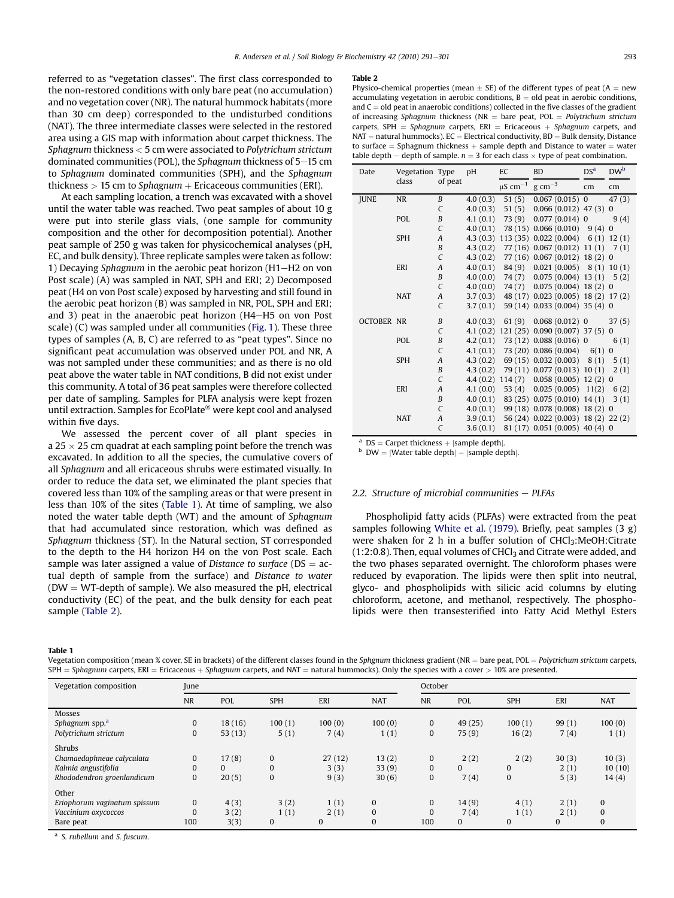referred to as "vegetation classes". The first class corresponded to the non-restored conditions with only bare peat (no accumulation) and no vegetation cover (NR). The natural hummock habitats (more than 30 cm deep) corresponded to the undisturbed conditions (NAT). The three intermediate classes were selected in the restored area using a GIS map with information about carpet thickness. The Sphagnum thickness < 5 cm were associated to Polytrichum strictum dominated communities (POL), the Sphagnum thickness of  $5-15$  cm to Sphagnum dominated communities (SPH), and the Sphagnum thickness  $> 15$  cm to Sphagnum  $+$  Ericaceous communities (ERI).

At each sampling location, a trench was excavated with a shovel until the water table was reached. Two peat samples of about 10 g were put into sterile glass vials, (one sample for community composition and the other for decomposition potential). Another peat sample of 250 g was taken for physicochemical analyses (pH, EC, and bulk density). Three replicate samples were taken as follow: 1) Decaying Sphagnum in the aerobic peat horizon  $(H1-H2)$  on von Post scale) (A) was sampled in NAT, SPH and ERI; 2) Decomposed peat (H4 on von Post scale) exposed by harvesting and still found in the aerobic peat horizon (B) was sampled in NR, POL, SPH and ERI; and 3) peat in the anaerobic peat horizon  $(H4-H5)$  on von Post scale) (C) was sampled under all communities ([Fig. 1](#page-1-0)). These three types of samples (A, B, C) are referred to as "peat types". Since no significant peat accumulation was observed under POL and NR, A was not sampled under these communities; and as there is no old peat above the water table in NAT conditions, B did not exist under this community. A total of 36 peat samples were therefore collected per date of sampling. Samples for PLFA analysis were kept frozen until extraction. Samples for EcoPlate® were kept cool and analysed within five days.

We assessed the percent cover of all plant species in a  $25 \times 25$  cm quadrat at each sampling point before the trench was excavated. In addition to all the species, the cumulative covers of all Sphagnum and all ericaceous shrubs were estimated visually. In order to reduce the data set, we eliminated the plant species that covered less than 10% of the sampling areas or that were present in less than 10% of the sites (Table 1). At time of sampling, we also noted the water table depth (WT) and the amount of Sphagnum that had accumulated since restoration, which was defined as Sphagnum thickness (ST). In the Natural section, ST corresponded to the depth to the H4 horizon H4 on the von Post scale. Each sample was later assigned a value of Distance to surface ( $DS = ac$ tual depth of sample from the surface) and Distance to water (DW  $=$  WT-depth of sample). We also measured the pH, electrical conductivity (EC) of the peat, and the bulk density for each peat sample (Table 2).

Table 2

Physico-chemical properties (mean  $\pm$  SE) of the different types of peat (A = new accumulating vegetation in aerobic conditions,  $B = old$  peat in aerobic conditions, and  $C =$  old peat in anaerobic conditions) collected in the five classes of the gradient of increasing Sphagnum thickness (NR  $=$  bare peat, POL  $=$  Polytrichum strictum carpets, SPH = Sphagnum carpets, ERI = Ericaceous + Sphagnum carpets, and  $NAT =$  natural hummocks). EC = Electrical conductivity, BD = Bulk density, Distance to surface  $=$  Sphagnum thickness  $+$  sample depth and Distance to water  $=$  water table depth – depth of sample.  $n = 3$  for each class  $\times$  type of peat combination.

| Date              | Vegetation Type |                  | pH       | EC                       | <b>BD</b>                                     | DS <sup>a</sup> | <b>DW</b> b |
|-------------------|-----------------|------------------|----------|--------------------------|-----------------------------------------------|-----------------|-------------|
|                   | class           | of peat          |          | $\mu$ S cm <sup>-1</sup> | $g \text{ cm}^{-3}$                           | cm              | cm          |
| <b>JUNE</b>       | <b>NR</b>       | B                | 4.0(0.3) | 51(5)                    | $0.067(0.015)$ 0                              |                 | 47(3)       |
|                   |                 | $\mathcal{C}$    | 4.0(0.3) | 51(5)                    | $0.066(0.012)$ 47(3) 0                        |                 |             |
|                   | <b>POL</b>      | B                | 4.1(0.1) | 73(9)                    | $0.077(0.014)$ 0                              |                 | 9(4)        |
|                   |                 | $\mathcal{C}$    | 4.0(0.1) | 78 (15)                  | 0.066(0.010)                                  | $9(4)$ 0        |             |
|                   | <b>SPH</b>      | $\overline{A}$   |          |                          | 4.3 (0.3) 113 (35) 0.022 (0.004) 6 (1) 12 (1) |                 |             |
|                   |                 | B                | 4.3(0.2) |                          | 77 (16) 0.067 (0.012) 11 (1) 7 (1)            |                 |             |
|                   |                 | $\mathcal{C}$    | 4.3(0.2) | 77 (16)                  | $0.067(0.012)$ 18(2) 0                        |                 |             |
|                   | ERI             | $\overline{A}$   | 4.0(0.1) | 84 (9)                   | $0.021(0.005)$ 8(1) 10(1)                     |                 |             |
|                   |                 | B                | 4.0(0.0) | 74 (7)                   | $0.075(0.004)$ 13(1) 5(2)                     |                 |             |
|                   |                 | $\mathcal{C}$    | 4.0(0.0) | 74 (7)                   | 0.075(0.004)18(2)0                            |                 |             |
|                   | <b>NAT</b>      | $\overline{A}$   | 3.7(0.3) |                          | 48 (17) 0.023 (0.005) 18 (2) 17 (2)           |                 |             |
|                   |                 | $\mathcal{C}$    | 3.7(0.1) |                          | 59 (14) 0.033 (0.004) 35 (4) 0                |                 |             |
| <b>OCTOBER NR</b> |                 | B                | 4.0(0.3) | 61(9)                    | $0.068(0.012)$ 0                              |                 | 37(5)       |
|                   |                 | $\mathcal{C}$    | 4.1(0.2) | 121(25)                  | $0.090(0.007)$ 37(5)                          |                 | $\Omega$    |
|                   | <b>POL</b>      | B                | 4.2(0.1) |                          | 73 (12) 0.088 (0.016) 0                       |                 | 6(1)        |
|                   |                 | $\mathcal{C}$    | 4.1(0.1) |                          | 73 (20) 0.086 (0.004)                         | 6(1) 0          |             |
|                   | <b>SPH</b>      | $\overline{A}$   | 4.3(0.2) |                          | 69 (15) 0.032 (0.003)                         | 8(1)            | 5(1)        |
|                   |                 | $\boldsymbol{B}$ | 4.3(0.2) |                          | 79 (11) 0.077 (0.013) 10 (1)                  |                 | 2(1)        |
|                   |                 | $\mathcal{C}$    |          | $4.4(0.2)$ 114 $(7)$     | $0.058(0.005)$ 12(2) 0                        |                 |             |
|                   | ERI             | A                | 4.1(0.0) | 53(4)                    | $0.025(0.005)$ 11(2) 6(2)                     |                 |             |
|                   |                 | $\boldsymbol{B}$ | 4.0(0.1) |                          | 83 (25) 0.075 (0.010) 14 (1) 3 (1)            |                 |             |
|                   |                 | $\mathcal{C}$    | 4.0(0.1) |                          | 99 (18) 0.078 (0.008) 18 (2) 0                |                 |             |
|                   | <b>NAT</b>      | A                | 3.9(0.1) |                          | 56 (24) 0.022 (0.003) 18 (2) 22 (2)           |                 |             |
|                   |                 | $\mathcal{C}$    | 3.6(0.1) |                          | 81 (17) 0.051 (0.005) 40 (4) 0                |                 |             |

<sup>a</sup> DS = Carpet thickness +  $|$ sample depth $|$ .<br><sup>b</sup> DW =  $|Water$  table depth $|$  –  $|sample$  depth $|$ .

## 2.2. Structure of microbial communities  $-$  PLFAs

Phospholipid fatty acids (PLFAs) were extracted from the peat samples following [White et al. \(1979\).](#page-10-0) Briefly, peat samples (3 g) were shaken for 2 h in a buffer solution of CHCl3:MeOH:Citrate  $(1:2:0.8)$ . Then, equal volumes of CHCl<sub>3</sub> and Citrate were added, and the two phases separated overnight. The chloroform phases were reduced by evaporation. The lipids were then split into neutral, glyco- and phospholipids with silicic acid columns by eluting chloroform, acetone, and methanol, respectively. The phospholipids were then transesterified into Fatty Acid Methyl Esters

Table 1

Vegetation composition (mean % cover, SE in brackets) of the different classes found in the Sphgnum thickness gradient (NR = bare peat, POL = Polytrichum strictum carpets,  $SPH = Sphagnum$  carpets, ERI = Ericaceous + Sphagnum carpets, and NAT = natural hummocks). Only the species with a cover > 10% are presented.

| Vegetation composition       | June         |          |              |          |              |              | October      |              |              |            |
|------------------------------|--------------|----------|--------------|----------|--------------|--------------|--------------|--------------|--------------|------------|
|                              | <b>NR</b>    | POL      | <b>SPH</b>   | ERI      | <b>NAT</b>   | <b>NR</b>    | POL          | <b>SPH</b>   | ERI          | <b>NAT</b> |
| Mosses                       |              |          |              |          |              |              |              |              |              |            |
| Sphagnum spp. <sup>a</sup>   | $\mathbf{0}$ | 18(16)   | 100(1)       | 100(0)   | 100(0)       | $\mathbf{0}$ | 49(25)       | 100(1)       | 99(1)        | 100(0)     |
| Polytrichum strictum         | $\bf{0}$     | 53(13)   | 5(1)         | 7(4)     | 1(1)         | 0            | 75(9)        | 16(2)        | 7(4)         | 1(1)       |
| Shrubs                       |              |          |              |          |              |              |              |              |              |            |
| Chamaedaphneae calyculata    | $\mathbf{0}$ | 17(8)    | $\mathbf{0}$ | 27(12)   | 13(2)        | 0            | 2(2)         | 2(2)         | 30(3)        | 10(3)      |
| Kalmia angustifolia          | $\Omega$     | $\Omega$ | $\mathbf{0}$ | 3(3)     | 33(9)        | 0            | $\Omega$     | $\Omega$     | 2(1)         | 10(10)     |
| Rhododendron groenlandicum   | $\bf{0}$     | 20(5)    | $\bf{0}$     | 9(3)     | 30(6)        | 0            | 7(4)         | $\Omega$     | 5(3)         | 14(4)      |
| Other                        |              |          |              |          |              |              |              |              |              |            |
| Eriophorum vaginatum spissum | $\bf{0}$     | 4(3)     | 3(2)         | 1(1)     | $\bf{0}$     | 0            | 14(9)        | 4(1)         | 2(1)         | $\bf{0}$   |
| Vaccinium oxycoccos          | $\mathbf{0}$ | 3(2)     | 1(1)         | 2(1)     | $\bf{0}$     | $\Omega$     | 7(4)         | 1(1)         | 2(1)         |            |
| Bare peat                    | 100          | 3(3)     | 0            | $\bf{0}$ | $\mathbf{0}$ | 100          | $\mathbf{0}$ | $\mathbf{0}$ | $\mathbf{0}$ | $\Omega$   |

<sup>a</sup> S. rubellum and S. fuscum.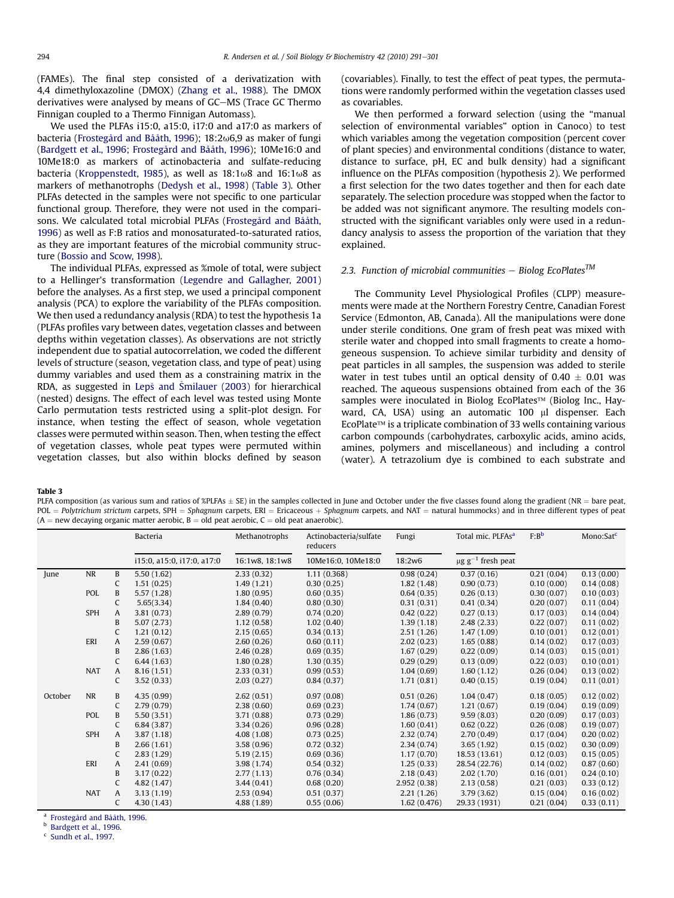<span id="page-3-0"></span>(FAMEs). The final step consisted of a derivatization with 4,4 dimethyloxazoline (DMOX) [\(Zhang et al., 1988](#page-10-0)). The DMOX derivatives were analysed by means of GC-MS (Trace GC Thermo Finnigan coupled to a Thermo Finnigan Automass).

We used the PLFAs i15:0, a15:0, i17:0 and a17:0 as markers of bacteria ([Frostegård and Bååth, 1996\)](#page-9-0); 18:2u6,9 as maker of fungi ([Bardgett et al., 1996; Frostegård and Bååth, 1996\)](#page-9-0); 10Me16:0 and 10Me18:0 as markers of actinobacteria and sulfate-reducing bacteria ([Kroppenstedt, 1985](#page-9-0)), as well as  $18:1\omega8$  and  $16:1\omega8$  as markers of methanotrophs ([Dedysh et al., 1998\)](#page-9-0) (Table 3). Other PLFAs detected in the samples were not specific to one particular functional group. Therefore, they were not used in the comparisons. We calculated total microbial PLFAs ([Frostegård and Bååth,](#page-9-0) [1996](#page-9-0)) as well as F:B ratios and monosaturated-to-saturated ratios, as they are important features of the microbial community structure ([Bossio and Scow, 1998\)](#page-9-0).

The individual PLFAs, expressed as %mole of total, were subject to a Hellinger's transformation [\(Legendre and Gallagher, 2001\)](#page-9-0) before the analyses. As a first step, we used a principal component analysis (PCA) to explore the variability of the PLFAs composition. We then used a redundancy analysis (RDA) to test the hypothesis 1a (PLFAs profiles vary between dates, vegetation classes and between depths within vegetation classes). As observations are not strictly independent due to spatial autocorrelation, we coded the different levels of structure (season, vegetation class, and type of peat) using dummy variables and used them as a constraining matrix in the RDA, as suggested in [Lep](#page-9-0)š and Š[milauer \(2003\)](#page-9-0) for hierarchical (nested) designs. The effect of each level was tested using Monte Carlo permutation tests restricted using a split-plot design. For instance, when testing the effect of season, whole vegetation classes were permuted within season. Then, when testing the effect of vegetation classes, whole peat types were permuted within vegetation classes, but also within blocks defined by season (covariables). Finally, to test the effect of peat types, the permutations were randomly performed within the vegetation classes used as covariables.

We then performed a forward selection (using the "manual selection of environmental variables" option in Canoco) to test which variables among the vegetation composition (percent cover of plant species) and environmental conditions (distance to water, distance to surface, pH, EC and bulk density) had a significant influence on the PLFAs composition (hypothesis 2). We performed a first selection for the two dates together and then for each date separately. The selection procedure was stopped when the factor to be added was not significant anymore. The resulting models constructed with the significant variables only were used in a redundancy analysis to assess the proportion of the variation that they explained.

# 2.3. Function of microbial communities  $-$  Biolog EcoPlates<sup>TM</sup>

The Community Level Physiological Profiles (CLPP) measurements were made at the Northern Forestry Centre, Canadian Forest Service (Edmonton, AB, Canada). All the manipulations were done under sterile conditions. One gram of fresh peat was mixed with sterile water and chopped into small fragments to create a homogeneous suspension. To achieve similar turbidity and density of peat particles in all samples, the suspension was added to sterile water in test tubes until an optical density of  $0.40 \pm 0.01$  was reached. The aqueous suspensions obtained from each of the 36 samples were inoculated in Biolog EcoPlates™ (Biolog Inc., Hayward, CA, USA) using an automatic 100 µl dispenser. Each  $E$ coPlate $\mathbb{I}^M$  is a triplicate combination of 33 wells containing various carbon compounds (carbohydrates, carboxylic acids, amino acids, amines, polymers and miscellaneous) and including a control (water). A tetrazolium dye is combined to each substrate and

Table 3

PLFA composition (as various sum and ratios of %PLFAs  $\pm$  SE) in the samples collected in June and October under the five classes found along the gradient (NR = bare peat, POL = Polytrichum strictum carpets, SPH = Sphagnum carpets, ERI = Ericaceous + Sphagnum carpets, and NAT = natural hummocks) and in three different types of peat  $(A = new decaying organic matter aerobic, B = old peat aerobic, C = old peat anaerobic).$ 

|         |            |                | Bacteria                   | Methanotrophs  | Actinobacteria/sulfate<br>reducers | Fungi       | Total mic. PLFAs <sup>a</sup>      | $F:B^b$    | Mono:Sat <sup>c</sup> |
|---------|------------|----------------|----------------------------|----------------|------------------------------------|-------------|------------------------------------|------------|-----------------------|
|         |            |                | i15:0, a15:0, i17:0, a17:0 | 16:1w8, 18:1w8 | 10Me16:0, 10Me18:0                 | 18:2w6      | $\mu$ g g <sup>-1</sup> fresh peat |            |                       |
| June    | <b>NR</b>  | B              | 5.50(1.62)                 | 2.33(0.32)     | 1.11(0.368)                        | 0.98(0.24)  | 0.37(0.16)                         | 0.21(0.04) | 0.13(0.00)            |
|         |            | C              | 1.51(0.25)                 | 1.49(1.21)     | 0.30(0.25)                         | 1.82(1.48)  | 0.90(0.73)                         | 0.10(0.00) | 0.14(0.08)            |
|         | POL        | B              | 5.57(1.28)                 | 1.80(0.95)     | 0.60(0.35)                         | 0.64(0.35)  | 0.26(0.13)                         | 0.30(0.07) | 0.10(0.03)            |
|         |            | C              | 5.65(3.34)                 | 1.84(0.40)     | 0.80(0.30)                         | 0.31(0.31)  | 0.41(0.34)                         | 0.20(0.07) | 0.11(0.04)            |
|         | <b>SPH</b> | A              | 3.81(0.73)                 | 2.89(0.79)     | 0.74(0.20)                         | 0.42(0.22)  | 0.27(0.13)                         | 0.17(0.03) | 0.14(0.04)            |
|         |            | B              | 5.07(2.73)                 | 1.12(0.58)     | 1.02(0.40)                         | 1.39(1.18)  | 2.48(2.33)                         | 0.22(0.07) | 0.11(0.02)            |
|         |            | C              | 1.21(0.12)                 | 2.15(0.65)     | 0.34(0.13)                         | 2.51(1.26)  | 1.47(1.09)                         | 0.10(0.01) | 0.12(0.01)            |
|         | ERI        | $\overline{A}$ | 2.59(0.67)                 | 2.60(0.26)     | 0.60(0.11)                         | 2.02(0.23)  | 1.65(0.88)                         | 0.14(0.02) | 0.17(0.03)            |
|         |            | B              | 2.86(1.63)                 | 2.46(0.28)     | 0.69(0.35)                         | 1.67(0.29)  | 0.22(0.09)                         | 0.14(0.03) | 0.15(0.01)            |
|         |            | C              | 6.44(1.63)                 | 1.80(0.28)     | 1.30(0.35)                         | 0.29(0.29)  | 0.13(0.09)                         | 0.22(0.03) | 0.10(0.01)            |
|         | <b>NAT</b> | $\mathsf{A}$   | 8.16(1.51)                 | 2.33(0.31)     | 0.99(0.53)                         | 1.04(0.69)  | 1.60(1.12)                         | 0.26(0.04) | 0.13(0.02)            |
|         |            | C              | 3.52(0.33)                 | 2.03(0.27)     | 0.84(0.37)                         | 1.71(0.81)  | 0.40(0.15)                         | 0.19(0.04) | 0.11(0.01)            |
| October | <b>NR</b>  | B              | 4.35(0.99)                 | 2.62(0.51)     | 0.97(0.08)                         | 0.51(0.26)  | 1.04(0.47)                         | 0.18(0.05) | 0.12(0.02)            |
|         |            | C              | 2.79(0.79)                 | 2.38(0.60)     | 0.69(0.23)                         | 1.74(0.67)  | 1.21(0.67)                         | 0.19(0.04) | 0.19(0.09)            |
|         | POL        | B              | 5.50(3.51)                 | 3.71(0.88)     | 0.73(0.29)                         | 1.86(0.73)  | 9.59(8.03)                         | 0.20(0.09) | 0.17(0.03)            |
|         |            | C              | 6.84(3.87)                 | 3.34(0.26)     | 0.96(0.28)                         | 1.60(0.41)  | 0.62(0.22)                         | 0.26(0.08) | 0.19(0.07)            |
|         | <b>SPH</b> | $\mathsf{A}$   | 3.87(1.18)                 | 4.08(1.08)     | 0.73(0.25)                         | 2.32(0.74)  | 2.70(0.49)                         | 0.17(0.04) | 0.20(0.02)            |
|         |            | B              | 2.66(1.61)                 | 3.58(0.96)     | 0.72(0.32)                         | 2.34(0.74)  | 3.65(1.92)                         | 0.15(0.02) | 0.30(0.09)            |
|         |            | C              | 2.83(1.29)                 | 5.19(2.15)     | 0.69(0.36)                         | 1.17(0.70)  | 18.53 (13.61)                      | 0.12(0.03) | 0.15(0.05)            |
|         | ERI        | A              | 2.41(0.69)                 | 3.98 (1.74)    | 0.54(0.32)                         | 1.25(0.33)  | 28.54 (22.76)                      | 0.14(0.02) | 0.87(0.60)            |
|         |            | B              | 3.17(0.22)                 | 2.77(1.13)     | 0.76(0.34)                         | 2.18(0.43)  | 2.02(1.70)                         | 0.16(0.01) | 0.24(0.10)            |
|         |            | C              | 4.82(1.47)                 | 3.44(0.41)     | 0.68(0.20)                         | 2.952(0.38) | 2.13(0.58)                         | 0.21(0.03) | 0.33(0.12)            |
|         | <b>NAT</b> | A              | 3.13(1.19)                 | 2.53(0.94)     | 0.51(0.37)                         | 2.21(1.26)  | 3.79(3.62)                         | 0.15(0.04) | 0.16(0.02)            |
|         |            | C              | 4.30(1.43)                 | 4.88 (1.89)    | 0.55(0.06)                         | 1.62(0.476) | 29.33 (1931)                       | 0.21(0.04) | 0.33(0.11)            |

<sup>a</sup> [Frostegård and Bååth, 1996](#page-9-0).

<sup>b</sup> [Bardgett et al., 1996.](#page-9-0)

 $c$  [Sundh et al., 1997](#page-10-0).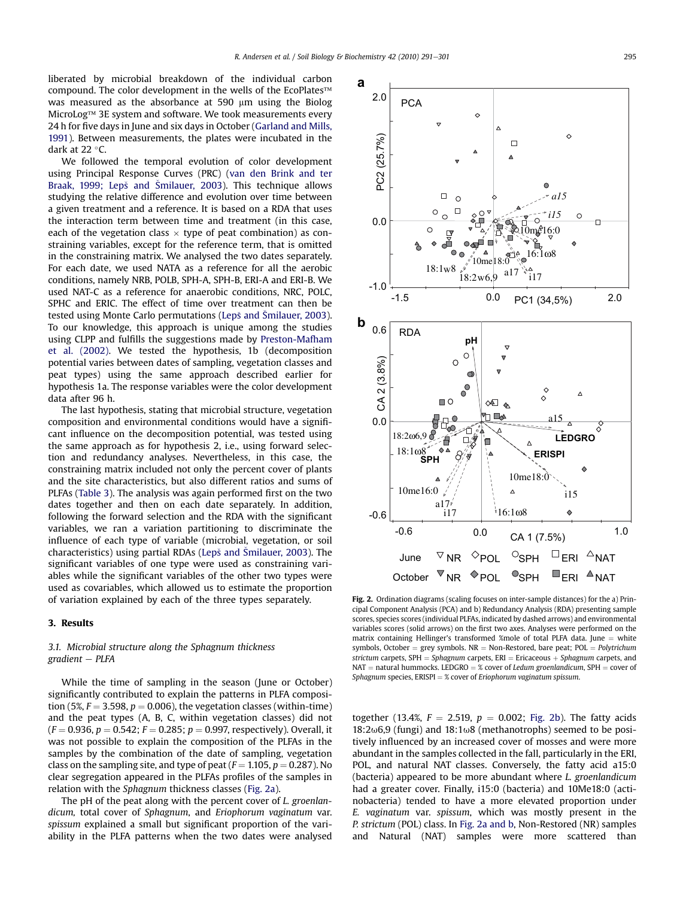liberated by microbial breakdown of the individual carbon compound. The color development in the wells of the EcoPlates was measured as the absorbance at 590 µm using the Biolog MicroLog™ 3E system and software. We took measurements every 24 h for five days in June and six days in October ([Garland and Mills,](#page-9-0) [1991\)](#page-9-0). Between measurements, the plates were incubated in the dark at 22 $\degree$ C.

We followed the temporal evolution of color development using Principal Response Curves (PRC) ([van den Brink and ter](#page-10-0) [Braak, 1999; Lep](#page-10-0)š and Š[milauer, 2003](#page-10-0)). This technique allows studying the relative difference and evolution over time between a given treatment and a reference. It is based on a RDA that uses the interaction term between time and treatment (in this case, each of the vegetation class  $\times$  type of peat combination) as constraining variables, except for the reference term, that is omitted in the constraining matrix. We analysed the two dates separately. For each date, we used NATA as a reference for all the aerobic conditions, namely NRB, POLB, SPH-A, SPH-B, ERI-A and ERI-B. We used NAT-C as a reference for anaerobic conditions, NRC, POLC, SPHC and ERIC. The effect of time over treatment can then be tested using Monte Carlo permutations [\(Lep](#page-9-0)š and Šmilauer, 2003). To our knowledge, this approach is unique among the studies using CLPP and fulfills the suggestions made by [Preston-Mafham](#page-9-0) [et al. \(2002\)](#page-9-0). We tested the hypothesis, 1b (decomposition potential varies between dates of sampling, vegetation classes and peat types) using the same approach described earlier for hypothesis 1a. The response variables were the color development data after 96 h.

The last hypothesis, stating that microbial structure, vegetation composition and environmental conditions would have a significant influence on the decomposition potential, was tested using the same approach as for hypothesis 2, i.e., using forward selection and redundancy analyses. Nevertheless, in this case, the constraining matrix included not only the percent cover of plants and the site characteristics, but also different ratios and sums of PLFAs ([Table 3](#page-3-0)). The analysis was again performed first on the two dates together and then on each date separately. In addition, following the forward selection and the RDA with the significant variables, we ran a variation partitioning to discriminate the influence of each type of variable (microbial, vegetation, or soil characteristics) using partial RDAs [\(Lep](#page-9-0)š and Šmilauer, 2003). The significant variables of one type were used as constraining variables while the significant variables of the other two types were used as covariables, which allowed us to estimate the proportion of variation explained by each of the three types separately.

# 3. Results

# 3.1. Microbial structure along the Sphagnum thickness  $gradient - PLFA$

While the time of sampling in the season (June or October) significantly contributed to explain the patterns in PLFA composition (5%,  $F = 3.598$ ,  $p = 0.006$ ), the vegetation classes (within-time) and the peat types (A, B, C, within vegetation classes) did not  $(F = 0.936, p = 0.542; F = 0.285; p = 0.997$ , respectively). Overall, it was not possible to explain the composition of the PLFAs in the samples by the combination of the date of sampling, vegetation class on the sampling site, and type of peat ( $F = 1.105$ ,  $p = 0.287$ ). No clear segregation appeared in the PLFAs profiles of the samples in relation with the Sphagnum thickness classes (Fig. 2a).

The pH of the peat along with the percent cover of *L. groenlan*dicum, total cover of Sphagnum, and Eriophorum vaginatum var. spissum explained a small but significant proportion of the variability in the PLFA patterns when the two dates were analysed



Fig. 2. Ordination diagrams (scaling focuses on inter-sample distances) for the a) Principal Component Analysis (PCA) and b) Redundancy Analysis (RDA) presenting sample scores, species scores (individual PLFAs, indicated by dashed arrows) and environmental variables scores (solid arrows) on the first two axes. Analyses were performed on the matrix containing Hellinger's transformed %mole of total PLFA data. June  $=$  white symbols, October = grey symbols. NR = Non-Restored, bare peat; POL = Polytrichum strictum carpets, SPH = Sphagnum carpets, ERI = Ericaceous + Sphagnum carpets, and  $NAT =$  natural hummocks. LEDGRO = % cover of Ledum groenlandicum, SPH = cover of Sphagnum species,  $ERISPI = %$  cover of Eriophorum vaginatum spissum.

together (13.4%,  $F = 2.519$ ,  $p = 0.002$ ; Fig. 2b). The fatty acids  $18:2\omega$ 6,9 (fungi) and  $18:1\omega$ 8 (methanotrophs) seemed to be positively influenced by an increased cover of mosses and were more abundant in the samples collected in the fall, particularly in the ERI, POL, and natural NAT classes. Conversely, the fatty acid a15:0 (bacteria) appeared to be more abundant where L. groenlandicum had a greater cover. Finally, i15:0 (bacteria) and 10Me18:0 (actinobacteria) tended to have a more elevated proportion under E. vaginatum var. spissum, which was mostly present in the P. strictum (POL) class. In Fig. 2a and b, Non-Restored (NR) samples and Natural (NAT) samples were more scattered than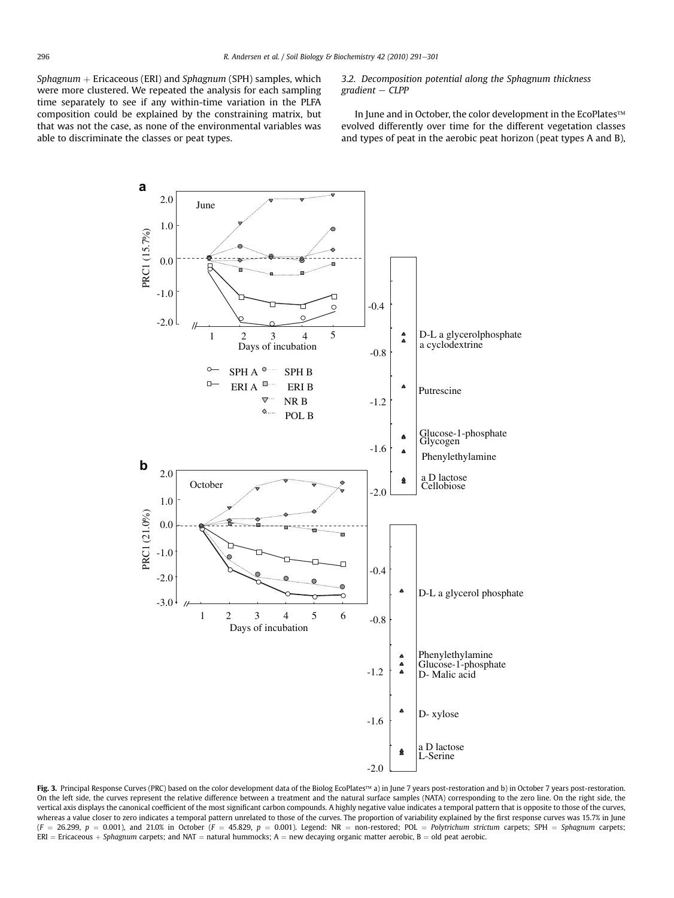<span id="page-5-0"></span> $Sphagnum + Ericaceous (ERI)$  and  $Sphagnum (SPH)$  samples, which were more clustered. We repeated the analysis for each sampling time separately to see if any within-time variation in the PLFA composition could be explained by the constraining matrix, but that was not the case, as none of the environmental variables was able to discriminate the classes or peat types.

3.2. Decomposition potential along the Sphagnum thickness  $gradient - \overline{CLPP}$ 

In June and in October, the color development in the EcoPlates™ evolved differently over time for the different vegetation classes and types of peat in the aerobic peat horizon (peat types A and B),



Fig. 3. Principal Response Curves (PRC) based on the color development data of the Biolog EcoPlates<sup>TM</sup> a) in June 7 years post-restoration and b) in October 7 years post-restoration. On the left side, the curves represent the relative difference between a treatment and the natural surface samples (NATA) corresponding to the zero line. On the right side, the vertical axis displays the canonical coefficient of the most significant carbon compounds. A highly negative value indicates a temporal pattern that is opposite to those of the curves, whereas a value closer to zero indicates a temporal pattern unrelated to those of the curves. The proportion of variability explained by the first response curves was 15.7% in June  $(F = 26.299, p = 0.001)$ , and 21.0% in October  $(F = 45.829, p = 0.001)$ . Legend: NR = non-restored; POL = Polytrichum strictum carpets; SPH = Sphagnum carpets;  $ERI = Ericaceous + Sphagnum carpets;$  and NAT = natural hummocks; A = new decaying organic matter aerobic, B = old peat aerobic.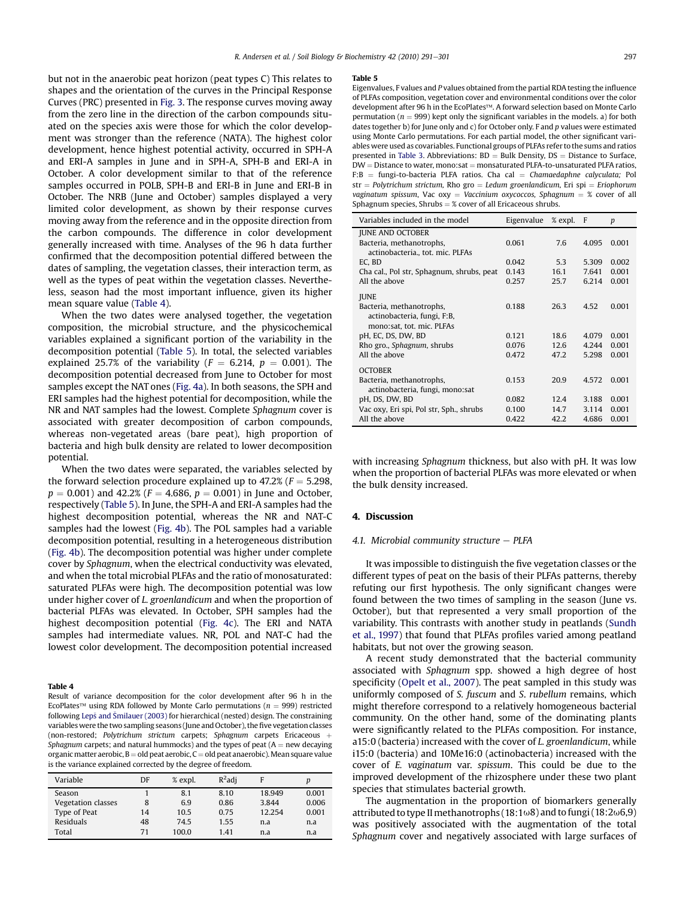but not in the anaerobic peat horizon (peat types C) This relates to shapes and the orientation of the curves in the Principal Response Curves (PRC) presented in [Fig. 3](#page-5-0). The response curves moving away from the zero line in the direction of the carbon compounds situated on the species axis were those for which the color development was stronger than the reference (NATA). The highest color development, hence highest potential activity, occurred in SPH-A and ERI-A samples in June and in SPH-A, SPH-B and ERI-A in October. A color development similar to that of the reference samples occurred in POLB, SPH-B and ERI-B in June and ERI-B in October. The NRB (June and October) samples displayed a very limited color development, as shown by their response curves moving away from the reference and in the opposite direction from the carbon compounds. The difference in color development generally increased with time. Analyses of the 96 h data further confirmed that the decomposition potential differed between the dates of sampling, the vegetation classes, their interaction term, as well as the types of peat within the vegetation classes. Nevertheless, season had the most important influence, given its higher mean square value (Table 4).

When the two dates were analysed together, the vegetation composition, the microbial structure, and the physicochemical variables explained a significant portion of the variability in the decomposition potential (Table 5). In total, the selected variables explained 25.7% of the variability ( $F = 6.214$ ,  $p = 0.001$ ). The decomposition potential decreased from June to October for most samples except the NAT ones ([Fig. 4a](#page-7-0)). In both seasons, the SPH and ERI samples had the highest potential for decomposition, while the NR and NAT samples had the lowest. Complete Sphagnum cover is associated with greater decomposition of carbon compounds, whereas non-vegetated areas (bare peat), high proportion of bacteria and high bulk density are related to lower decomposition potential.

When the two dates were separated, the variables selected by the forward selection procedure explained up to 47.2% ( $F = 5.298$ ,  $p = 0.001$ ) and 42.2% ( $F = 4.686$ ,  $p = 0.001$ ) in June and October, respectively (Table 5). In June, the SPH-A and ERI-A samples had the highest decomposition potential, whereas the NR and NAT-C samples had the lowest ([Fig. 4b](#page-7-0)). The POL samples had a variable decomposition potential, resulting in a heterogeneous distribution ([Fig. 4b\)](#page-7-0). The decomposition potential was higher under complete cover by Sphagnum, when the electrical conductivity was elevated, and when the total microbial PLFAs and the ratio of monosaturated: saturated PLFAs were high. The decomposition potential was low under higher cover of L. groenlandicum and when the proportion of bacterial PLFAs was elevated. In October, SPH samples had the highest decomposition potential [\(Fig. 4c](#page-7-0)). The ERI and NATA samples had intermediate values. NR, POL and NAT-C had the lowest color development. The decomposition potential increased

#### Table 4

Result of variance decomposition for the color development after 96 h in the EcoPlates<sup>TM</sup> using RDA followed by Monte Carlo permutations ( $n = 999$ ) restricted following [Lep](#page-9-0)š and Šmilauer (2003) for hierarchical (nested) design. The constraining variables were the two sampling seasons (June and October), the five vegetation classes (non-restored; Polytrichum strictum carpets; Sphagnum carpets Ericaceous  $+$ Sphagnum carpets; and natural hummocks) and the types of peat  $(A = new decaying)$ organic matter aerobic,  $B = old$  peat aerobic,  $C = old$  peat anaerobic). Mean square value is the variance explained corrected by the degree of freedom.

| Variable           | DF | % expl. | $R^2$ adj |        |       |
|--------------------|----|---------|-----------|--------|-------|
| Season             |    | 8.1     | 8.10      | 18.949 | 0.001 |
| Vegetation classes | 8  | 6.9     | 0.86      | 3.844  | 0.006 |
| Type of Peat       | 14 | 10.5    | 0.75      | 12.254 | 0.001 |
| <b>Residuals</b>   | 48 | 74.5    | 1.55      | n.a    | n.a   |
| Total              | 71 | 100.0   | 141       | n.a    | n.a   |

#### Table 5

Eigenvalues, F values and P values obtained from the partial RDA testing the influence of PLFAs composition, vegetation cover and environmental conditions over the color development after 96 h in the EcoPlates™. A forward selection based on Monte Carlo permutation ( $n = 999$ ) kept only the significant variables in the models, a) for both dates together b) for June only and c) for October only. F and p values were estimated using Monte Carlo permutations. For each partial model, the other significant variables were used as covariables. Functional groups of PLFAs refer to the sums and ratios presented in [Table 3.](#page-3-0) Abbreviations:  $BD = Bulk Density$ ,  $DS = Distance$  to Surface,  $DW =$  Distance to water, mono:sat = monsaturated PLFA-to-unsaturated PLFA ratios. F:B = fungi-to-bacteria PLFA ratios. Cha cal = Chamaedaphne calyculata; Pol  $str = Polytrichum strictum, Rho gro = Ledum groenlandicum, Eri spi = Eriophorum$ vaginatum spissum, Vac oxy = Vaccinium oxycoccos, Sphagnum =  $%$  cover of all Sphagnum species, Shrubs  $=$  % cover of all Ericaceous shrubs.

| Variables included in the model           | Eigenvalue | % expl. | F     | p     |
|-------------------------------------------|------------|---------|-------|-------|
| <b>JUNE AND OCTOBER</b>                   |            |         |       |       |
| Bacteria, methanotrophs,                  | 0.061      | 7.6     | 4.095 | 0.001 |
| actinobacteria., tot. mic. PLFAs          |            |         |       |       |
| EC. BD                                    | 0.042      | 5.3     | 5.309 | 0.002 |
| Cha cal., Pol str, Sphagnum, shrubs, peat | 0.143      | 16.1    | 7.641 | 0.001 |
| All the above                             | 0.257      | 25.7    | 6.214 | 0.001 |
| <b>JUNE</b>                               |            |         |       |       |
|                                           | 0.188      | 26.3    | 4.52  | 0.001 |
| Bacteria, methanotrophs,                  |            |         |       |       |
| actinobacteria, fungi, F:B,               |            |         |       |       |
| mono:sat, tot. mic. PLFAs                 |            |         |       |       |
| pH, EC, DS, DW, BD                        | 0.121      | 18.6    | 4.079 | 0.001 |
| Rho gro., Sphagnum, shrubs                | 0.076      | 12.6    | 4.244 | 0.001 |
| All the above                             | 0.472      | 47.2    | 5.298 | 0.001 |
| <b>OCTOBER</b>                            |            |         |       |       |
| Bacteria, methanotrophs,                  | 0.153      | 20.9    | 4.572 | 0.001 |
| actinobacteria, fungi, mono:sat           |            |         |       |       |
| pH, DS, DW, BD                            | 0.082      | 12.4    | 3.188 | 0.001 |
| Vac oxy, Eri spi, Pol str, Sph., shrubs   | 0.100      | 14.7    | 3.114 | 0.001 |
| All the above                             | 0.422      | 42.2    | 4.686 | 0.001 |

with increasing Sphagnum thickness, but also with pH. It was low when the proportion of bacterial PLFAs was more elevated or when the bulk density increased.

## 4. Discussion

## 4.1. Microbial community structure  $-$  PLFA

It was impossible to distinguish the five vegetation classes or the different types of peat on the basis of their PLFAs patterns, thereby refuting our first hypothesis. The only significant changes were found between the two times of sampling in the season (June vs. October), but that represented a very small proportion of the variability. This contrasts with another study in peatlands [\(Sundh](#page-10-0) [et al., 1997](#page-10-0)) that found that PLFAs profiles varied among peatland habitats, but not over the growing season.

A recent study demonstrated that the bacterial community associated with Sphagnum spp. showed a high degree of host specificity [\(Opelt et al., 2007](#page-9-0)). The peat sampled in this study was uniformly composed of S. fuscum and S. rubellum remains, which might therefore correspond to a relatively homogeneous bacterial community. On the other hand, some of the dominating plants were significantly related to the PLFAs composition. For instance, a15:0 (bacteria) increased with the cover of L. groenlandicum, while i15:0 (bacteria) and 10Me16:0 (actinobacteria) increased with the cover of E. vaginatum var. spissum. This could be due to the improved development of the rhizosphere under these two plant species that stimulates bacterial growth.

The augmentation in the proportion of biomarkers generally attributed to type II methanotrophs ( $18:1\omega8$ ) and to fungi ( $18:2\omega6,9$ ) was positively associated with the augmentation of the total Sphagnum cover and negatively associated with large surfaces of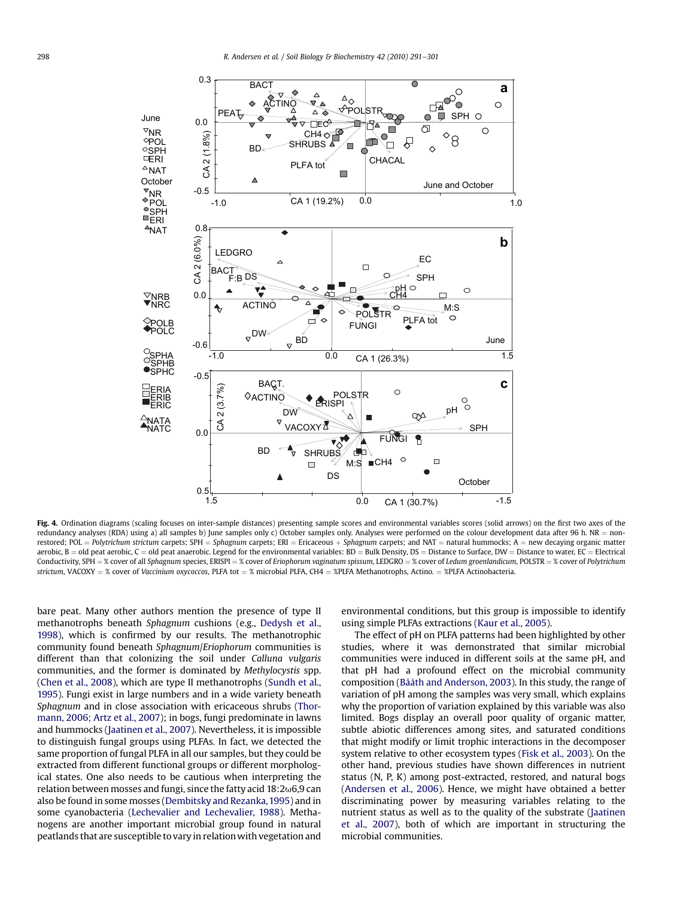<span id="page-7-0"></span>

Fig. 4. Ordination diagrams (scaling focuses on inter-sample distances) presenting sample scores and environmental variables scores (solid arrows) on the first two axes of the redundancy analyses (RDA) using a) all samples b) June samples only c) October samples only. Analyses were performed on the colour development data after 96 h. NR = nonrestored; POL = Polytrichum strictum carpets; SPH = Sphagnum carpets; ERI = Ericaceous + Sphagnum carpets; and NAT = natural hummocks; A = new decaying organic matter aerobic, B = old peat aerobic, C = old peat anaerobic. Legend for the environmental variables: BD = Bulk Density, DS = Distance to Surface, DW = Distance to water, EC = Electrical Conductivity, SPH = % cover of all Sphagnum species, ERISPI = % cover of Eriophorum vaginatum spissum, LEDGRO = % cover of Ledum groenlandicum, POLSTR = % cover of Polytrichum strictum, VACOXY = % cover of Vaccinium oxycoccos, PLFA tot = % microbial PLFA, CH4 = %PLFA Methanotrophs, Actino. = %PLFA Actinobacteria.

bare peat. Many other authors mention the presence of type II methanotrophs beneath Sphagnum cushions (e.g., [Dedysh et al.,](#page-9-0) [1998](#page-9-0)), which is confirmed by our results. The methanotrophic community found beneath Sphagnum/Eriophorum communities is different than that colonizing the soil under Calluna vulgaris communities, and the former is dominated by Methylocystis spp. ([Chen et al., 2008](#page-9-0)), which are type II methanotrophs [\(Sundh et al.,](#page-10-0) [1995](#page-10-0)). Fungi exist in large numbers and in a wide variety beneath Sphagnum and in close association with ericaceous shrubs [\(Thor](#page-10-0)[mann, 2006; Artz et al., 2007\)](#page-10-0); in bogs, fungi predominate in lawns and hummocks ([Jaatinen et al., 2007\)](#page-9-0). Nevertheless, it is impossible to distinguish fungal groups using PLFAs. In fact, we detected the same proportion of fungal PLFA in all our samples, but they could be extracted from different functional groups or different morphological states. One also needs to be cautious when interpreting the relation between mosses and fungi, since the fatty acid  $18:2\omega 6.9$  can also be found in some mosses [\(Dembitsky and Rezanka,1995](#page-9-0)) and in some cyanobacteria [\(Lechevalier and Lechevalier, 1988](#page-9-0)). Methanogens are another important microbial group found in natural peatlands that are susceptible to vary in relation with vegetation and environmental conditions, but this group is impossible to identify using simple PLFAs extractions [\(Kaur et al., 2005](#page-9-0)).

The effect of pH on PLFA patterns had been highlighted by other studies, where it was demonstrated that similar microbial communities were induced in different soils at the same pH, and that pH had a profound effect on the microbial community composition [\(Bååth and Anderson, 2003](#page-9-0)). In this study, the range of variation of pH among the samples was very small, which explains why the proportion of variation explained by this variable was also limited. Bogs display an overall poor quality of organic matter, subtle abiotic differences among sites, and saturated conditions that might modify or limit trophic interactions in the decomposer system relative to other ecosystem types [\(Fisk et al., 2003](#page-9-0)). On the other hand, previous studies have shown differences in nutrient status (N, P, K) among post-extracted, restored, and natural bogs ([Andersen et al., 2006\)](#page-9-0). Hence, we might have obtained a better discriminating power by measuring variables relating to the nutrient status as well as to the quality of the substrate [\(Jaatinen](#page-9-0) [et al., 2007\)](#page-9-0), both of which are important in structuring the microbial communities.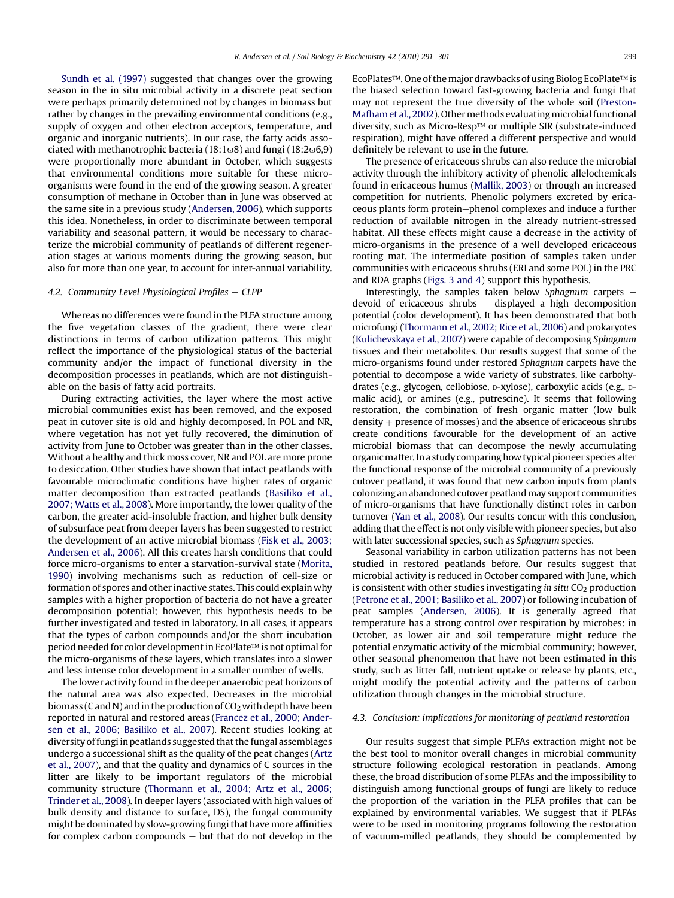[Sundh et al. \(1997\)](#page-10-0) suggested that changes over the growing season in the in situ microbial activity in a discrete peat section were perhaps primarily determined not by changes in biomass but rather by changes in the prevailing environmental conditions (e.g., supply of oxygen and other electron acceptors, temperature, and organic and inorganic nutrients). In our case, the fatty acids associated with methanotrophic bacteria (18:1 $\omega$ 8) and fungi (18:2 $\omega$ 6,9) were proportionally more abundant in October, which suggests that environmental conditions more suitable for these microorganisms were found in the end of the growing season. A greater consumption of methane in October than in June was observed at the same site in a previous study [\(Andersen, 2006](#page-9-0)), which supports this idea. Nonetheless, in order to discriminate between temporal variability and seasonal pattern, it would be necessary to characterize the microbial community of peatlands of different regeneration stages at various moments during the growing season, but also for more than one year, to account for inter-annual variability.

## 4.2. Community Level Physiological Profiles  $-$  CLPP

Whereas no differences were found in the PLFA structure among the five vegetation classes of the gradient, there were clear distinctions in terms of carbon utilization patterns. This might reflect the importance of the physiological status of the bacterial community and/or the impact of functional diversity in the decomposition processes in peatlands, which are not distinguishable on the basis of fatty acid portraits.

During extracting activities, the layer where the most active microbial communities exist has been removed, and the exposed peat in cutover site is old and highly decomposed. In POL and NR, where vegetation has not yet fully recovered, the diminution of activity from June to October was greater than in the other classes. Without a healthy and thick moss cover, NR and POL are more prone to desiccation. Other studies have shown that intact peatlands with favourable microclimatic conditions have higher rates of organic matter decomposition than extracted peatlands ([Basiliko et al.,](#page-9-0) [2007; Watts et al., 2008\)](#page-9-0). More importantly, the lower quality of the carbon, the greater acid-insoluble fraction, and higher bulk density of subsurface peat from deeper layers has been suggested to restrict the development of an active microbial biomass [\(Fisk et al., 2003;](#page-9-0) [Andersen et al., 2006](#page-9-0)). All this creates harsh conditions that could force micro-organisms to enter a starvation-survival state [\(Morita,](#page-9-0) [1990\)](#page-9-0) involving mechanisms such as reduction of cell-size or formation of spores and other inactive states. This could explainwhy samples with a higher proportion of bacteria do not have a greater decomposition potential; however, this hypothesis needs to be further investigated and tested in laboratory. In all cases, it appears that the types of carbon compounds and/or the short incubation period needed for color development in EcoPlate<sup>™</sup> is not optimal for the micro-organisms of these layers, which translates into a slower and less intense color development in a smaller number of wells.

The lower activity found in the deeper anaerobic peat horizons of the natural area was also expected. Decreases in the microbial biomass (C and N) and in the production of  $CO<sub>2</sub>$  with depth have been reported in natural and restored areas [\(Francez et al., 2000; Ander](#page-9-0)[sen et al., 2006; Basiliko et al., 2007\)](#page-9-0). Recent studies looking at diversity of fungi in peatlands suggested that the fungal assemblages undergo a successional shift as the quality of the peat changes ([Artz](#page-9-0) [et al., 2007](#page-9-0)), and that the quality and dynamics of C sources in the litter are likely to be important regulators of the microbial community structure [\(Thormann et al., 2004; Artz et al., 2006;](#page-10-0) [Trinder et al., 2008](#page-10-0)). In deeper layers (associated with high values of bulk density and distance to surface, DS), the fungal community might be dominated by slow-growing fungi that have more affinities for complex carbon compounds  $-$  but that do not develop in the EcoPlates<sup>™</sup>. One of the major drawbacks of using Biolog EcoPlate<sup>™</sup> is the biased selection toward fast-growing bacteria and fungi that may not represent the true diversity of the whole soil ([Preston-](#page-9-0)[Mafham et al., 2002\)](#page-9-0). Other methods evaluatingmicrobial functional diversity, such as Micro-Resp™ or multiple SIR (substrate-induced respiration), might have offered a different perspective and would definitely be relevant to use in the future.

The presence of ericaceous shrubs can also reduce the microbial activity through the inhibitory activity of phenolic allelochemicals found in ericaceous humus [\(Mallik, 2003\)](#page-9-0) or through an increased competition for nutrients. Phenolic polymers excreted by ericaceous plants form protein-phenol complexes and induce a further reduction of available nitrogen in the already nutrient-stressed habitat. All these effects might cause a decrease in the activity of micro-organisms in the presence of a well developed ericaceous rooting mat. The intermediate position of samples taken under communities with ericaceous shrubs (ERI and some POL) in the PRC and RDA graphs ([Figs. 3 and 4](#page-5-0)) support this hypothesis.

Interestingly, the samples taken below Sphagnum carpets  $$ devoid of ericaceous shrubs  $-$  displayed a high decomposition potential (color development). It has been demonstrated that both microfungi ([Thormann et al., 2002; Rice et al., 2006](#page-10-0)) and prokaryotes [\(Kulichevskaya et al., 2007\)](#page-9-0) were capable of decomposing Sphagnum tissues and their metabolites. Our results suggest that some of the micro-organisms found under restored Sphagnum carpets have the potential to decompose a wide variety of substrates, like carbohydrates (e.g., glycogen, cellobiose, D-xylose), carboxylic acids (e.g., Dmalic acid), or amines (e.g., putrescine). It seems that following restoration, the combination of fresh organic matter (low bulk density  $+$  presence of mosses) and the absence of ericaceous shrubs create conditions favourable for the development of an active microbial biomass that can decompose the newly accumulating organicmatter. In a study comparing how typical pioneer species alter the functional response of the microbial community of a previously cutover peatland, it was found that new carbon inputs from plants colonizing an abandoned cutover peatland may support communities of micro-organisms that have functionally distinct roles in carbon turnover [\(Yan et al., 2008](#page-10-0)). Our results concur with this conclusion, adding that the effect is not only visible with pioneer species, but also with later successional species, such as Sphagnum species.

Seasonal variability in carbon utilization patterns has not been studied in restored peatlands before. Our results suggest that microbial activity is reduced in October compared with June, which is consistent with other studies investigating in situ  $CO<sub>2</sub>$  production ([Petrone et al., 2001; Basiliko et al., 2007](#page-9-0)) or following incubation of peat samples ([Andersen, 2006](#page-9-0)). It is generally agreed that temperature has a strong control over respiration by microbes: in October, as lower air and soil temperature might reduce the potential enzymatic activity of the microbial community; however, other seasonal phenomenon that have not been estimated in this study, such as litter fall, nutrient uptake or release by plants, etc., might modify the potential activity and the patterns of carbon utilization through changes in the microbial structure.

# 4.3. Conclusion: implications for monitoring of peatland restoration

Our results suggest that simple PLFAs extraction might not be the best tool to monitor overall changes in microbial community structure following ecological restoration in peatlands. Among these, the broad distribution of some PLFAs and the impossibility to distinguish among functional groups of fungi are likely to reduce the proportion of the variation in the PLFA profiles that can be explained by environmental variables. We suggest that if PLFAs were to be used in monitoring programs following the restoration of vacuum-milled peatlands, they should be complemented by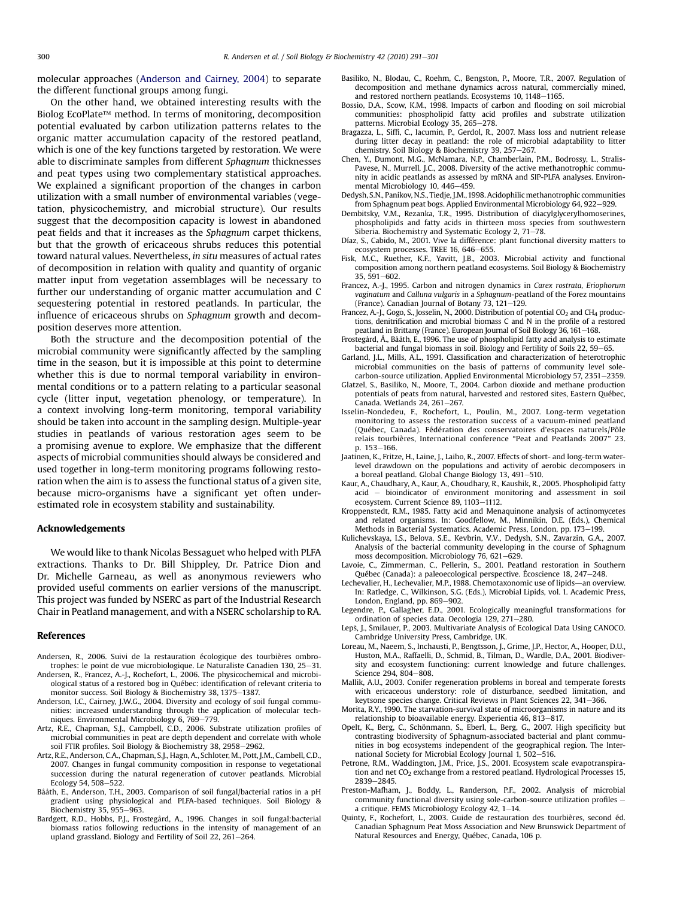<span id="page-9-0"></span>300 **R. Andersen et al. / Soil Biology & Biochemistry 42 (2010) 291–301** 

molecular approaches (Anderson and Cairney, 2004) to separate the different functional groups among fungi.

On the other hand, we obtained interesting results with the Biolog EcoPlate<sup>™</sup> method. In terms of monitoring, decomposition potential evaluated by carbon utilization patterns relates to the organic matter accumulation capacity of the restored peatland, which is one of the key functions targeted by restoration. We were able to discriminate samples from different Sphagnum thicknesses and peat types using two complementary statistical approaches. We explained a significant proportion of the changes in carbon utilization with a small number of environmental variables (vegetation, physicochemistry, and microbial structure). Our results suggest that the decomposition capacity is lowest in abandoned peat fields and that it increases as the Sphagnum carpet thickens, but that the growth of ericaceous shrubs reduces this potential toward natural values. Nevertheless, in situ measures of actual rates of decomposition in relation with quality and quantity of organic matter input from vegetation assemblages will be necessary to further our understanding of organic matter accumulation and C sequestering potential in restored peatlands. In particular, the influence of ericaceous shrubs on Sphagnum growth and decomposition deserves more attention.

Both the structure and the decomposition potential of the microbial community were significantly affected by the sampling time in the season, but it is impossible at this point to determine whether this is due to normal temporal variability in environmental conditions or to a pattern relating to a particular seasonal cycle (litter input, vegetation phenology, or temperature). In a context involving long-term monitoring, temporal variability should be taken into account in the sampling design. Multiple-year studies in peatlands of various restoration ages seem to be a promising avenue to explore. We emphasize that the different aspects of microbial communities should always be considered and used together in long-term monitoring programs following restoration when the aim is to assess the functional status of a given site, because micro-organisms have a significant yet often underestimated role in ecosystem stability and sustainability.

## Acknowledgements

We would like to thank Nicolas Bessaguet who helped with PLFA extractions. Thanks to Dr. Bill Shippley, Dr. Patrice Dion and Dr. Michelle Garneau, as well as anonymous reviewers who provided useful comments on earlier versions of the manuscript. This project was funded by NSERC as part of the Industrial Research Chair in Peatland management, and with a NSERC scholarship to RA.

## References

- Andersen, R., 2006. Suivi de la restauration écologique des tourbières ombrotrophes: le point de vue microbiologique. Le Naturaliste Canadien 130, 25-31.
- Andersen, R., Francez, A.-J., Rochefort, L., 2006. The physicochemical and microbiological status of a restored bog in Québec: identification of relevant criteria to monitor success. Soil Biology & Biochemistry 38, 1375-1387.
- Anderson, I.C., Cairney, J.W.G., 2004. Diversity and ecology of soil fungal communities: increased understanding through the application of molecular techniques. Environmental Microbiology 6, 769-779.
- Artz, R.E., Chapman, S.J., Campbell, C.D., 2006. Substrate utilization profiles of microbial communities in peat are depth dependent and correlate with whole soil FTIR profiles. Soil Biology & Biochemistry 38, 2958-2962.
- Artz, R.E., Anderson, C.A., Chapman, S.J., Hagn, A., Schloter, M., Pott, J.M., Cambell, C.D., 2007. Changes in fungal community composition in response to vegetational succession during the natural regeneration of cutover peatlands. Microbial Ecology 54, 508-522.
- Bååth, E., Anderson, T.H., 2003. Comparison of soil fungal/bacterial ratios in a pH gradient using physiological and PLFA-based techniques. Soil Biology & Biochemistry 35, 955-963.
- Bardgett, R.D., Hobbs, P.J., Frostegård, A., 1996. Changes in soil fungal:bacterial biomass ratios following reductions in the intensity of management of an upland grassland. Biology and Fertility of Soil 22, 261-264.
- Basiliko, N., Blodau, C., Roehm, C., Bengston, P., Moore, T.R., 2007. Regulation of decomposition and methane dynamics across natural, commercially mined, and restored northern peatlands. Ecosystems  $10.1148 - 1165$ .
- Bossio, D.A., Scow, K.M., 1998. Impacts of carbon and flooding on soil microbial communities: phospholipid fatty acid profiles and substrate utilization patterns. Microbial Ecology 35, 265–278.
- Bragazza, L., Siffi, C., Iacumin, P., Gerdol, R., 2007. Mass loss and nutrient release during litter decay in peatland: the role of microbial adaptability to litter chemistry. Soil Biology & Biochemistry 39, 257-267.
- Chen, Y., Dumont, M.G., McNamara, N.P., Chamberlain, P.M., Bodrossy, L., Stralis-Pavese, N., Murrell, J.C., 2008. Diversity of the active methanotrophic community in acidic peatlands as assessed by mRNA and SIP-PLFA analyses. Environmental Microbiology 10, 446-459.
- Dedysh, S.N., Panikov, N.S., Tiedje, J.M.,1998. Acidophilic methanotrophic communities from Sphagnum peat bogs. Applied Environmental Microbiology 64, 922-929.
- Dembitsky, V.M., Rezanka, T.R., 1995. Distribution of diacylglycerylhomoserines, phospholipids and fatty acids in thirteen moss species from southwestern Siberia. Biochemistry and Systematic Ecology 2, 71-78.
- Díaz, S., Cabido, M., 2001. Vive la différence: plant functional diversity matters to ecosystem processes. TREE 16, 646-655.
- Fisk, M.C., Ruether, K.F., Yavitt, J.B., 2003. Microbial activity and functional composition among northern peatland ecosystems. Soil Biology & Biochemistry  $35.591 - 602.$
- Francez, A.-J., 1995. Carbon and nitrogen dynamics in Carex rostrata, Eriophorum vaginatum and Calluna vulgaris in a Sphagnum-peatland of the Forez mountains (France). Canadian Journal of Botany  $73.121 - 129$ .
- Francez, A.-J., Gogo, S., Josselin, N., 2000. Distribution of potential  $CO<sub>2</sub>$  and  $CH<sub>4</sub>$  productions, denitrification and microbial biomass C and N in the profile of a restored peatland in Brittany (France). European Journal of Soil Biology 36, 161–168.
- Frostegård, Å., Bååth, E., 1996. The use of phospholipid fatty acid analysis to estimate bacterial and fungal biomass in soil. Biology and Fertility of Soils 22, 59-65.
- Garland, J.L., Mills, A.L., 1991. Classification and characterization of heterotrophic microbial communities on the basis of patterns of community level solecarbon-source utilization. Applied Environmental Microbiology 57, 2351-2359.
- Glatzel, S., Basiliko, N., Moore, T., 2004. Carbon dioxide and methane production potentials of peats from natural, harvested and restored sites, Eastern Québec, Canada. Wetlands 24, 261-267.
- Isselin-Nondedeu, F., Rochefort, L., Poulin, M., 2007. Long-term vegetation monitoring to assess the restoration success of a vacuum-mined peatland (Québec, Canada). Fédération des conservatoires d'espaces naturels/Pôle relais tourbières, International conference "Peat and Peatlands 2007" 23. p. 153-166.
- Jaatinen, K., Fritze, H., Laine, J., Laiho, R., 2007. Effects of short- and long-term waterlevel drawdown on the populations and activity of aerobic decomposers in a boreal peatland. Global Change Biology 13, 491-510.
- Kaur, A., Chaudhary, A., Kaur, A., Choudhary, R., Kaushik, R., 2005. Phospholipid fatty acid e bioindicator of environment monitoring and assessment in soil ecosystem. Current Science 89, 1103-1112.
- Kroppenstedt, R.M., 1985. Fatty acid and Menaquinone analysis of actinomycetes and related organisms. In: Goodfellow, M., Minnikin, D.E. (Eds.), Chemical Methods in Bacterial Systematics. Academic Press, London, pp. 173-199.
- Kulichevskaya, I.S., Belova, S.E., Kevbrin, V.V., Dedysh, S.N., Zavarzin, G.A., 2007. Analysis of the bacterial community developing in the course of Sphagnum moss decomposition. Microbiology 76, 621-629.
- Lavoie, C., Zimmerman, C., Pellerin, S., 2001. Peatland restoration in Southern Québec (Canada): a paleoecological perspective. Écoscience 18, 247-248.
- Lechevalier, H., Lechevalier, M.P., 1988. Chemotaxonomic use of lipids-an overview. In: Ratledge, C., Wilkinson, S.G. (Eds.), Microbial Lipids, vol. 1. Academic Press, London, England, pp. 869-902.
- Legendre, P., Gallagher, E.D., 2001. Ecologically meaningful transformations for ordination of species data. Oecologia 129, 271-280.
- Lepš, J., Šmilauer, P., 2003. Multivariate Analysis of Ecological Data Using CANOCO. Cambridge University Press, Cambridge, UK.
- Loreau, M., Naeem, S., Inchausti, P., Bengtsson, J., Grime, J.P., Hector, A., Hooper, D.U., Huston, M.A., Raffaelli, D., Schmid, B., Tilman, D., Wardle, D.A., 2001. Biodiversity and ecosystem functioning: current knowledge and future challenges. Science 294, 804-808.
- Mallik, A.U., 2003. Conifer regeneration problems in boreal and temperate forests with ericaceous understory: role of disturbance, seedbed limitation, and keytsone species change. Critical Reviews in Plant Sciences 22, 341-366.
- Morita, R.Y., 1990. The starvation-survival state of microorganisms in nature and its relationship to bioavailable energy. Experientia 46, 813-817.
- Opelt, K., Berg, C., Schönmann, S., Eberl, L., Berg, G., 2007. High specificity but contrasting biodiversity of Sphagnum-associated bacterial and plant communities in bog ecosystems independent of the geographical region. The International Society for Microbial Ecology Journal 1, 502-516.
- Petrone, R.M., Waddington, J.M., Price, J.S., 2001. Ecosystem scale evapotranspiration and net CO<sub>2</sub> exchange from a restored peatland. Hydrological Processes 15, 2839-2845
- Preston-Mafham, J., Boddy, L., Randerson, P.F., 2002. Analysis of microbial community functional diversity using sole-carbon-source utilization profiles a critique. FEMS Microbiology Ecology 42, 1-14.
- Quinty, F., Rochefort, L., 2003. Guide de restauration des tourbières, second éd. Canadian Sphagnum Peat Moss Association and New Brunswick Department of Natural Resources and Energy, Québec, Canada, 106 p.